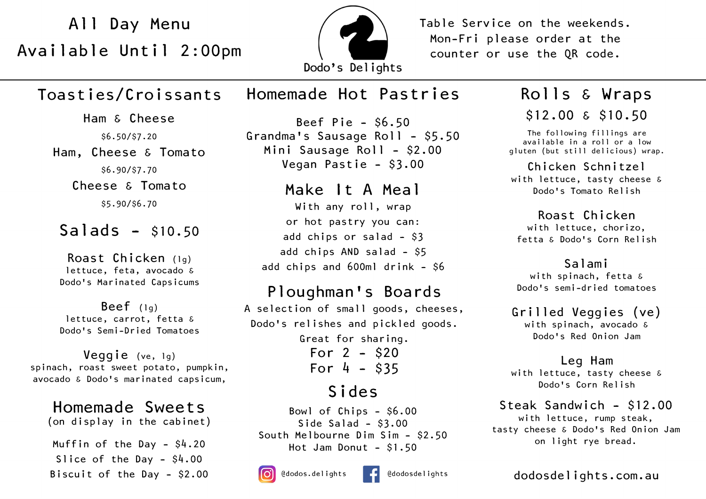Available Until 2:00pm



All Day Menu (All Table Service on the weekends. Mon-Fri please order at the counter or use the QR code.

# Toasties/Croissants

Ham & Cheese \$6.50/\$7.20 Ham, Cheese & Tomato \$6.90/\$7.70 Cheese & Tomato \$5.90/\$6.70

## $Salds - $10.50$

Roast Chicken (lg) lettuce, feta, avocado & Dodo's Marinated Capsicums

Beef (lg) lettuce, carrot, fetta & Dodo's Semi-Dried Tomatoes

Veggie (ve, 1g) spinach, roast sweet potato, pumpkin, avocado & Dodo's marinated capsicum,

Muffin of the Day - \$4.20 Slice of the Day - \$4.00 Homemade Sweets (on display in the cabinet)

Biscuit of the Day - \$2.00

# Homemade Hot Pastries

Beef Pie - \$6.50 Grandma's Sausage Roll - \$5.50 Mini Sausage Roll - \$2.00 Vegan Pastie - \$3.00

Make It A Meal With any roll, wrap or hot pastry you can: add chips or salad - \$3 add chips AND salad - \$5 add chips and 600ml drink - \$6

### Ploughman's Boards

A selection of small goods, cheeses, Dodo's relishes and pickled goods.

> Great for sharing. For 2 - \$20 For  $4 - $35$

# Sides

Bowl of Chips - \$6.00 Side Salad - \$3.00 South Melbourne Dim Sim - \$2.50 Hot Jam Donut - \$1.50



# Rolls & Wraps \$12.00 & \$10.50

The following fillings are available in a roll or a low gluten (but still delicious) wrap.

#### Chicken Schnitzel

with lettuce, tasty cheese & Dodo's Tomato Relish

Roast Chicken with lettuce, chorizo, fetta & Dodo's Corn Relish

### Salami

with spinach, fetta & Dodo's semi-dried tomatoes

### Grilled Veggies (ve)

with spinach, avocado & Dodo's Red Onion Jam

### Leg Ham

with lettuce, tasty cheese & Dodo's Corn Relish

Steak Sandwich - \$12.00 with lettuce, rump steak, tasty cheese & Dodo's Red Onion Jam on light rye bread.

dodosdelights.com.au